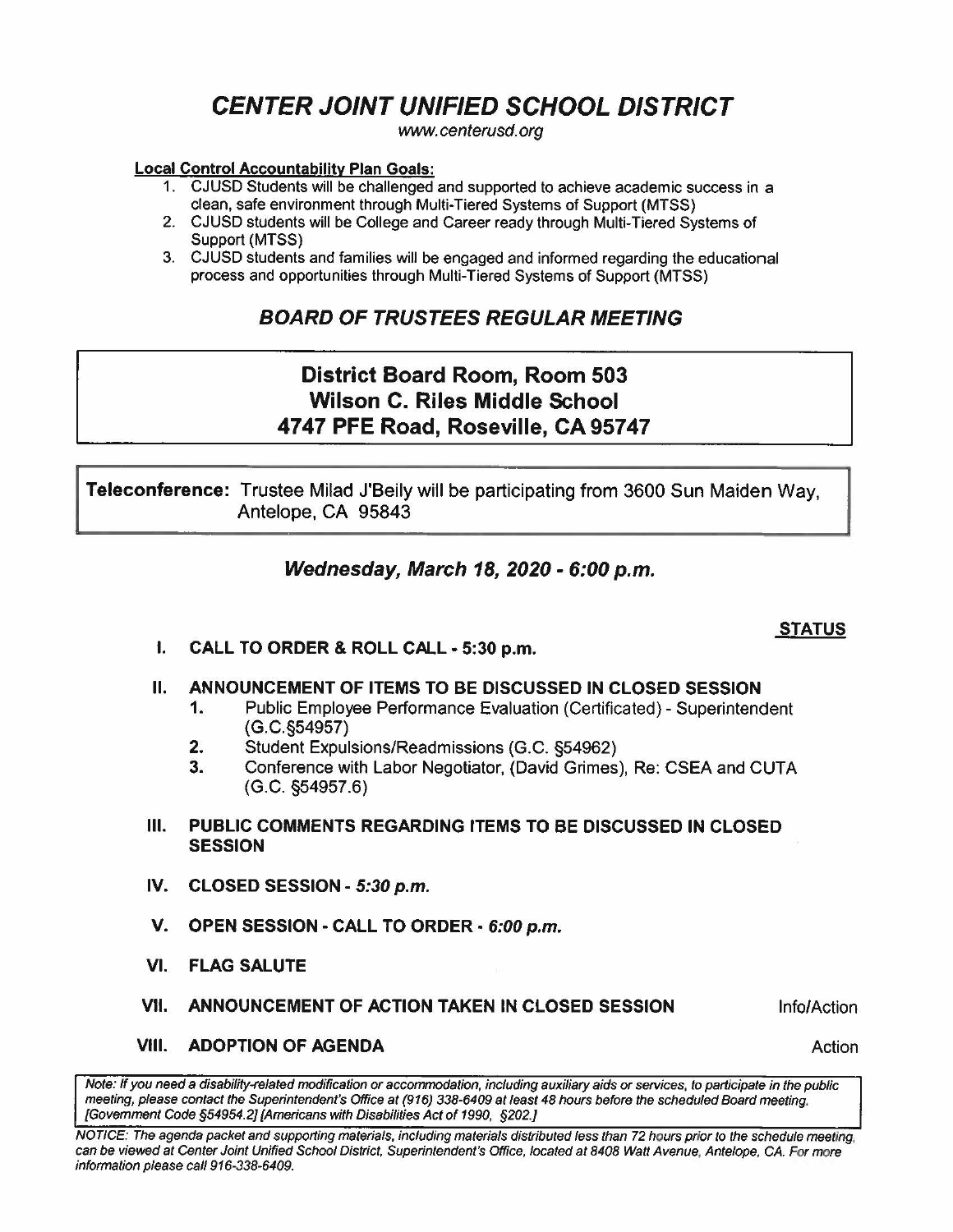# **CENTER JOINT UNIFIED SCHOOL DISTRICT**

www.centerusd.org

#### **Local Control Accountability Plan Goals:**

- 1. CJUSD Students will be challenged and supported to achieve academic success in a clean, safe environment through Multi-Tiered Systems of Support (MTSS)
- 2. CJUSD students will be College and Career ready through Multi-Tiered Systems of Support (MTSS)
- 3. CJUSD students and families will be engaged and informed regarding the educational process and opportunities through Multi-Tiered Systems of Support (MTSS)

### **BOARD OF TRUSTEES REGULAR MEETING**

## **District Board Room, Room 503 Wilson C. Riles Middle School 4747 PFE Road, Roseville, CA 95747**

**Teleconference:** Trustee Milad J'Beily will be participating from 3600 Sun Maiden Way, Antelope, CA 95843

### **Wednesday, March 18, 2020** - **6:00 p.m.**

### **STATUS**

I. **CALL TO ORDER** & **ROLL CALL** • **5:30 p.m.** 

#### II. **ANNOUNCEMENT OF ITEMS TO BE DISCUSSED IN CLOSED SESSION**

- **1.** Public Employee Performance Evaluation (Certificated)- Superintendent (G.C.§54957)
- **2.** Student Expulsions/Readmissions (G.C. §54962)
- **3.** Conference with Labor Negotiator, (David Grimes), Re: CSEA and CUTA (G.C. §54957.6)
- Ill. **PUBLIC COMMENTS REGARDING ITEMS TO BE DISCUSSED IN CLOSED SESSION**
- **IV. CLOSED SESSION· 5:30 p.m.**
- **V. OPEN SESSION CALL TO ORDER• 6:00 p.m.**
- **VI. FLAG SALUTE**
- **VII. ANNOUNCEMENT OF ACTION TAKEN IN CLOSED SESSION**

Info/Action

**VIII. ADOPTION OF AGENDA** 

Action

Note: If you need a disability-related modification or accommodation, including auxiliary aids or services, to participate in the public meeting, please contact the Superintendent's Office at (916) 338-6409 at least 48 hours before the scheduled Board meeting. [Government Code §54954.2] [Americans with Disabilities Act of 1990, §202.)

NOTICE: The agenda packet and supporting materials, including materials distributed less than 72 hours prior to the schedule meeting. can be viewed at Center Joint Unified School District, Superintendent's Office, located at 8408 Watt Avenue, Antelope, CA. For more information please call 916-338-6409.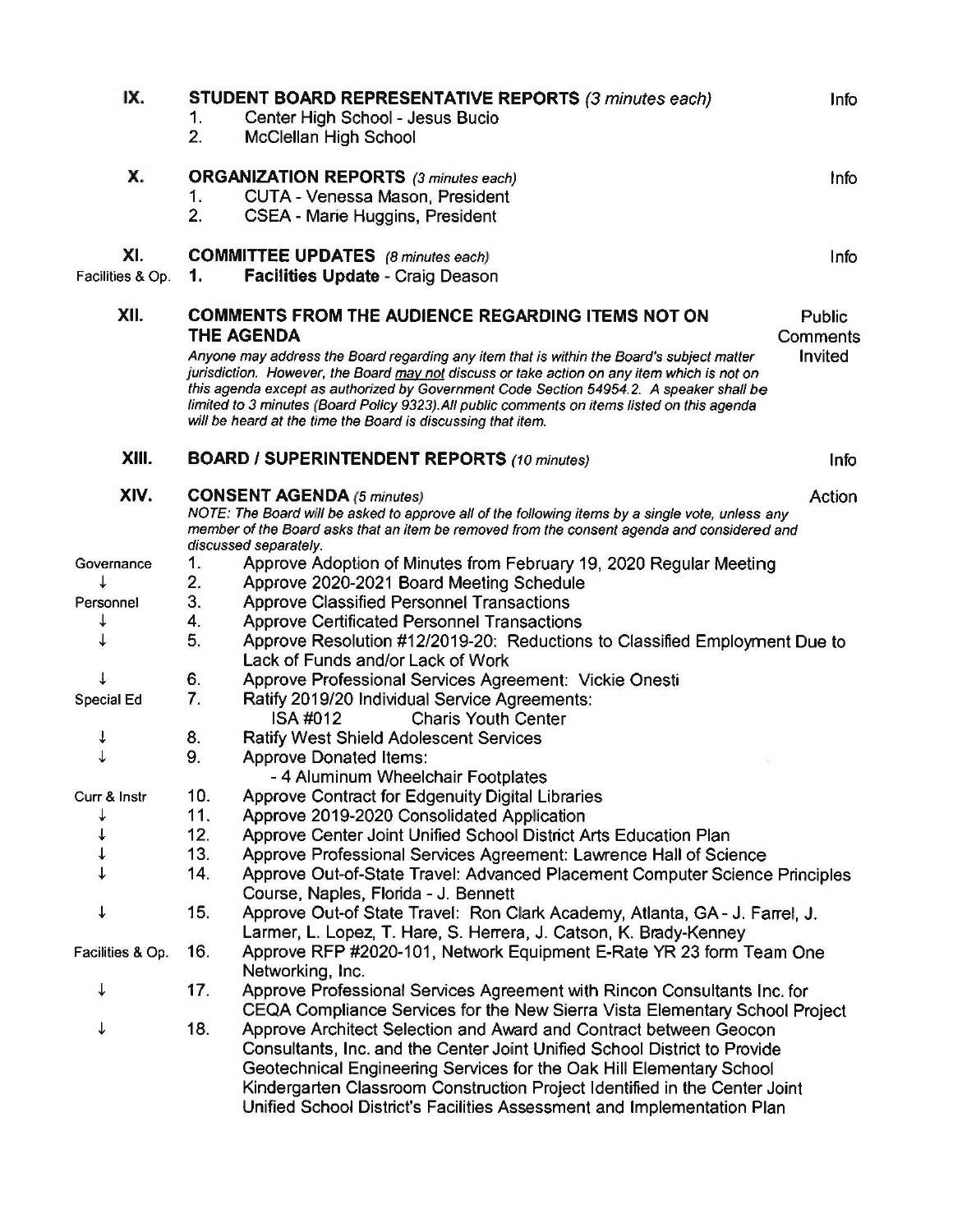| IX.                     | 1.<br>2.                                                                                                   | STUDENT BOARD REPRESENTATIVE REPORTS (3 minutes each)<br>Center High School - Jesus Bucio<br><b>McClellan High School</b>                                                                                                                                                                                                                                                                                                                           | Info    |  |
|-------------------------|------------------------------------------------------------------------------------------------------------|-----------------------------------------------------------------------------------------------------------------------------------------------------------------------------------------------------------------------------------------------------------------------------------------------------------------------------------------------------------------------------------------------------------------------------------------------------|---------|--|
| Х.                      | 1.<br>2.                                                                                                   | <b>ORGANIZATION REPORTS</b> (3 minutes each)<br>CUTA - Venessa Mason, President<br>CSEA - Marie Huggins, President                                                                                                                                                                                                                                                                                                                                  | Info    |  |
| XI.<br>Facilities & Op. | 1.                                                                                                         | <b>COMMITTEE UPDATES</b> (8 minutes each)<br><b>Facilities Update - Craig Deason</b>                                                                                                                                                                                                                                                                                                                                                                | Info    |  |
| XII.                    | <b>COMMENTS FROM THE AUDIENCE REGARDING ITEMS NOT ON</b><br>Public<br><b>THE AGENDA</b><br><b>Comments</b> |                                                                                                                                                                                                                                                                                                                                                                                                                                                     |         |  |
|                         |                                                                                                            | Anyone may address the Board regarding any item that is within the Board's subject matter<br>jurisdiction. However, the Board may not discuss or take action on any item which is not on<br>this agenda except as authorized by Government Code Section 54954.2. A speaker shall be<br>limited to 3 minutes (Board Policy 9323). All public comments on items listed on this agenda<br>will be heard at the time the Board is discussing that item. | Invited |  |
| XIII.                   |                                                                                                            | <b>BOARD / SUPERINTENDENT REPORTS (10 minutes)</b>                                                                                                                                                                                                                                                                                                                                                                                                  | Info    |  |
| XIV.                    |                                                                                                            | <b>CONSENT AGENDA (5 minutes)</b><br>Action<br>NOTE: The Board will be asked to approve all of the following items by a single vote, unless any<br>member of the Board asks that an item be removed from the consent agenda and considered and<br>discussed separately.                                                                                                                                                                             |         |  |
| Governance<br>↓         | 1.<br>2.                                                                                                   | Approve Adoption of Minutes from February 19, 2020 Regular Meeting<br>Approve 2020-2021 Board Meeting Schedule                                                                                                                                                                                                                                                                                                                                      |         |  |
| Personnel               | 3.                                                                                                         | <b>Approve Classified Personnel Transactions</b>                                                                                                                                                                                                                                                                                                                                                                                                    |         |  |
| ↓                       | 4.                                                                                                         | <b>Approve Certificated Personnel Transactions</b>                                                                                                                                                                                                                                                                                                                                                                                                  |         |  |
|                         | 5.                                                                                                         | Approve Resolution #12/2019-20: Reductions to Classified Employment Due to<br>Lack of Funds and/or Lack of Work                                                                                                                                                                                                                                                                                                                                     |         |  |
|                         | 6.                                                                                                         | Approve Professional Services Agreement: Vickie Onesti                                                                                                                                                                                                                                                                                                                                                                                              |         |  |
| <b>Special Ed</b>       | 7.                                                                                                         | Ratify 2019/20 Individual Service Agreements:<br>ISA #012<br><b>Charis Youth Center</b>                                                                                                                                                                                                                                                                                                                                                             |         |  |
| ↓                       | 8.                                                                                                         | <b>Ratify West Shield Adolescent Services</b>                                                                                                                                                                                                                                                                                                                                                                                                       |         |  |
| ↓                       | 9.                                                                                                         | <b>Approve Donated Items:</b><br>- 4 Aluminum Wheelchair Footplates                                                                                                                                                                                                                                                                                                                                                                                 |         |  |
| Curr & Instr            | 10.                                                                                                        | <b>Approve Contract for Edgenuity Digital Libraries</b>                                                                                                                                                                                                                                                                                                                                                                                             |         |  |
|                         | 11.                                                                                                        | Approve 2019-2020 Consolidated Application                                                                                                                                                                                                                                                                                                                                                                                                          |         |  |
|                         | 12.                                                                                                        | Approve Center Joint Unified School District Arts Education Plan                                                                                                                                                                                                                                                                                                                                                                                    |         |  |
|                         | 13.                                                                                                        | Approve Professional Services Agreement: Lawrence Hall of Science                                                                                                                                                                                                                                                                                                                                                                                   |         |  |
|                         | 14.                                                                                                        | Approve Out-of-State Travel: Advanced Placement Computer Science Principles<br>Course, Naples, Florida - J. Bennett                                                                                                                                                                                                                                                                                                                                 |         |  |
| $\downarrow$            | 15.                                                                                                        | Approve Out-of State Travel: Ron Clark Academy, Atlanta, GA - J. Farrel, J.<br>Larmer, L. Lopez, T. Hare, S. Herrera, J. Catson, K. Brady-Kenney                                                                                                                                                                                                                                                                                                    |         |  |
| Facilities & Op.        | 16.                                                                                                        | Approve RFP #2020-101, Network Equipment E-Rate YR 23 form Team One<br>Networking, Inc.                                                                                                                                                                                                                                                                                                                                                             |         |  |
| ↓                       | 17.                                                                                                        | Approve Professional Services Agreement with Rincon Consultants Inc. for<br>CEQA Compliance Services for the New Sierra Vista Elementary School Project                                                                                                                                                                                                                                                                                             |         |  |
| ↓                       | 18.                                                                                                        | Approve Architect Selection and Award and Contract between Geocon<br>Consultants, Inc. and the Center Joint Unified School District to Provide<br>Geotechnical Engineering Services for the Oak Hill Elementary School<br>Kindergarten Classroom Construction Project Identified in the Center Joint<br>Unified School District's Facilities Assessment and Implementation Plan                                                                     |         |  |